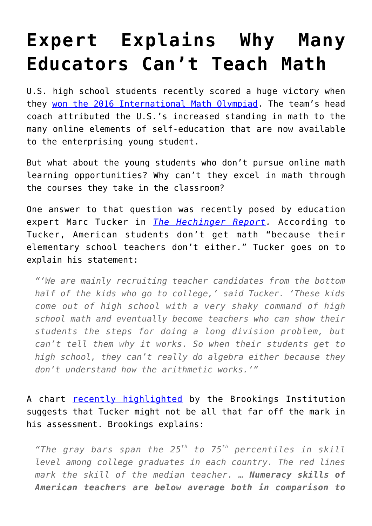## **[Expert Explains Why Many](https://intellectualtakeout.org/2016/07/expert-explains-why-many-educators-cant-teach-math/) [Educators Can't Teach Math](https://intellectualtakeout.org/2016/07/expert-explains-why-many-educators-cant-teach-math/)**

U.S. high school students recently scored a huge victory when they [won the 2016 International Math Olympiad.](https://www.intellectualtakeout.org/blog/us-students-win-2016-math-olympiad) The team's head coach attributed the U.S.'s increased standing in math to the many online elements of self-education that are now available to the enterprising young student.

But what about the young students who don't pursue online math learning opportunities? Why can't they excel in math through the courses they take in the classroom?

One answer to that question was recently posed by education expert Marc Tucker in *[The Hechinger Report.](http://hechingerreport.org/wed-be-better-at-math-if-the-u-s-borrowed-these-four-ideas-for-training-teachers-from-finland-japan-and-china/)* According to Tucker, American students don't get math "because their elementary school teachers don't either." Tucker goes on to explain his statement:

*"'We are mainly recruiting teacher candidates from the bottom half of the kids who go to college,' said Tucker. 'These kids come out of high school with a very shaky command of high school math and eventually become teachers who can show their students the steps for doing a long division problem, but can't tell them why it works. So when their students get to high school, they can't really do algebra either because they don't understand how the arithmetic works.'"*

A chart [recently highlighted](http://www.brookings.edu/blogs/brown-center-chalkboard/posts/2016/07/25-teacher-cognitive-ability-world-startz?rssid=education) by the Brookings Institution suggests that Tucker might not be all that far off the mark in his assessment. Brookings explains:

*"The gray bars span the 25th to 75th percentiles in skill level among college graduates in each country. The red lines mark the skill of the median teacher. … Numeracy skills of American teachers are below average both in comparison to*